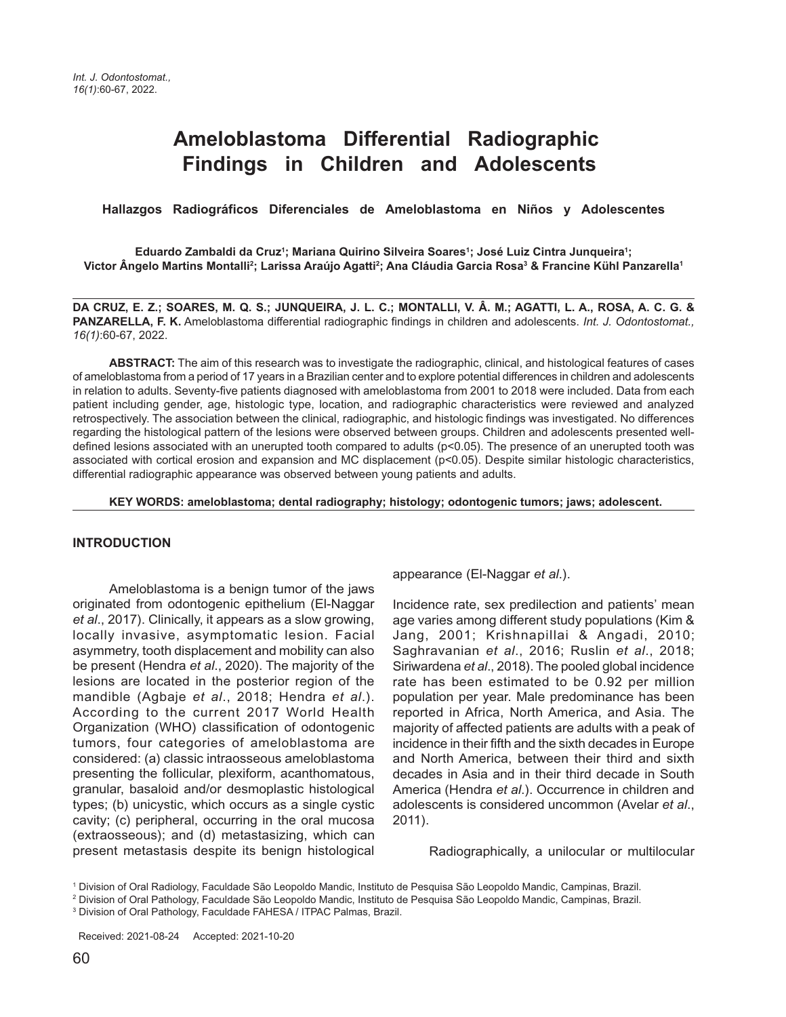# **Ameloblastoma Differential Radiographic Findings in Children and Adolescents**

 **Hallazgos Radiográficos Diferenciales de Ameloblastoma en Niños y Adolescentes**

**Eduardo Zambaldi da Cruz1 ; Mariana Quirino Silveira Soares1 ; José Luiz Cintra Junqueira1 ; Victor Ângelo Martins Montalli2 ; Larissa Araújo Agatti2 ; Ana Cláudia Garcia Rosa3 & Francine Kühl Panzarella1**

**DA CRUZ, E. Z.; SOARES, M. Q. S.; JUNQUEIRA, J. L. C.; MONTALLI, V. Â. M.; AGATTI, L. A., ROSA, A. C. G. & PANZARELLA, F. K.** Ameloblastoma differential radiographic findings in children and adolescents. *Int. J. Odontostomat., 16(1)*:60-67, 2022.

**ABSTRACT:** The aim of this research was to investigate the radiographic, clinical, and histological features of cases of ameloblastoma from a period of 17 years in a Brazilian center and to explore potential differences in children and adolescents in relation to adults. Seventy-five patients diagnosed with ameloblastoma from 2001 to 2018 were included. Data from each patient including gender, age, histologic type, location, and radiographic characteristics were reviewed and analyzed retrospectively. The association between the clinical, radiographic, and histologic findings was investigated. No differences regarding the histological pattern of the lesions were observed between groups. Children and adolescents presented welldefined lesions associated with an unerupted tooth compared to adults (p<0.05). The presence of an unerupted tooth was associated with cortical erosion and expansion and MC displacement (p<0.05). Despite similar histologic characteristics, differential radiographic appearance was observed between young patients and adults.

**KEY WORDS: ameloblastoma; dental radiography; histology; odontogenic tumors; jaws; adolescent.**

#### **INTRODUCTION**

Ameloblastoma is a benign tumor of the jaws originated from odontogenic epithelium (El-Naggar *et al*., 2017). Clinically, it appears as a slow growing, locally invasive, asymptomatic lesion. Facial asymmetry, tooth displacement and mobility can also be present (Hendra *et al*., 2020). The majority of the lesions are located in the posterior region of the mandible (Agbaje *et al*., 2018; Hendra *et al*.). According to the current 2017 World Health Organization (WHO) classification of odontogenic tumors, four categories of ameloblastoma are considered: (a) classic intraosseous ameloblastoma presenting the follicular, plexiform, acanthomatous, granular, basaloid and/or desmoplastic histological types; (b) unicystic, which occurs as a single cystic cavity; (c) peripheral, occurring in the oral mucosa (extraosseous); and (d) metastasizing, which can present metastasis despite its benign histological

appearance (El-Naggar *et al*.).

Incidence rate, sex predilection and patients' mean age varies among different study populations (Kim & Jang, 2001; Krishnapillai & Angadi, 2010; Saghravanian *et al*., 2016; Ruslin *et al*., 2018; Siriwardena *et al*., 2018). The pooled global incidence rate has been estimated to be 0.92 per million population per year. Male predominance has been reported in Africa, North America, and Asia. The majority of affected patients are adults with a peak of incidence in their fifth and the sixth decades in Europe and North America, between their third and sixth decades in Asia and in their third decade in South America (Hendra *et al*.). Occurrence in children and adolescents is considered uncommon (Avelar *et al*., 2011).

Radiographically, a unilocular or multilocular

1 Division of Oral Radiology, Faculdade São Leopoldo Mandic, Instituto de Pesquisa São Leopoldo Mandic, Campinas, Brazil.

Received: 2021-08-24 Accepted: 2021-10-20

<sup>&</sup>lt;sup>2</sup> Division of Oral Pathology, Faculdade São Leopoldo Mandic, Instituto de Pesquisa São Leopoldo Mandic, Campinas, Brazil.

<sup>3</sup> Division of Oral Pathology, Faculdade FAHESA / ITPAC Palmas, Brazil.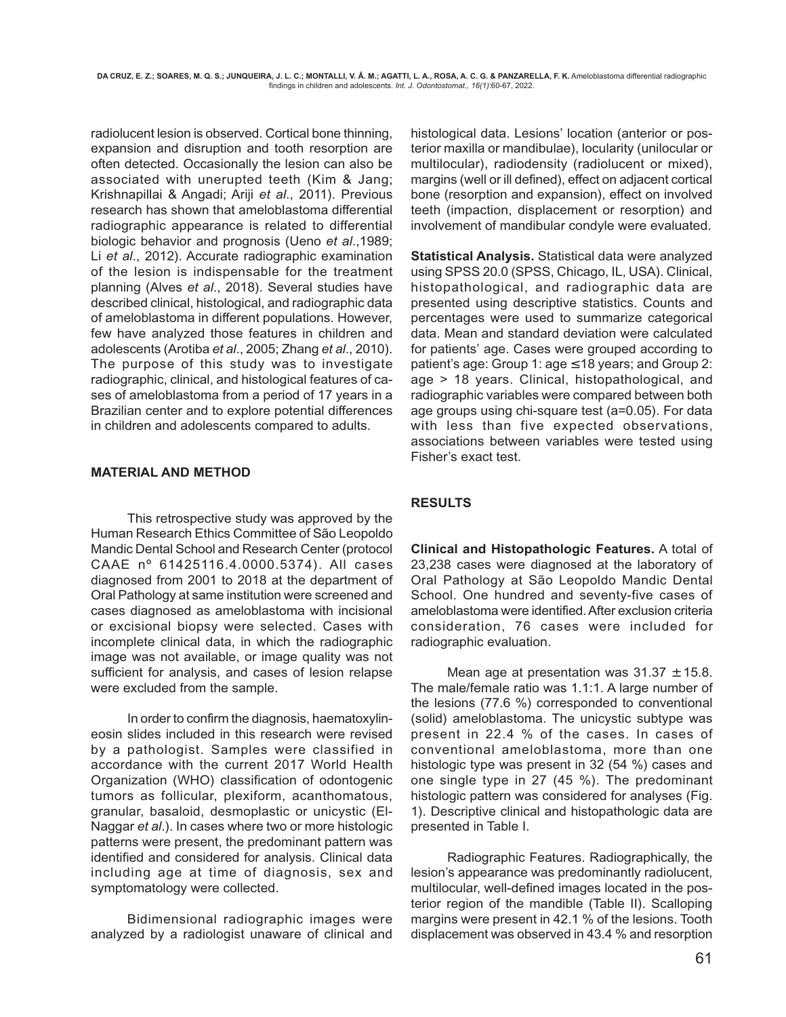radiolucent lesion is observed. Cortical bone thinning, expansion and disruption and tooth resorption are often detected. Occasionally the lesion can also be associated with unerupted teeth (Kim & Jang; Krishnapillai & Angadi; Ariji *et al*., 2011). Previous research has shown that ameloblastoma differential radiographic appearance is related to differential biologic behavior and prognosis (Ueno *et al*.,1989; Li *et al*., 2012). Accurate radiographic examination of the lesion is indispensable for the treatment planning (Alves *et al*., 2018). Several studies have described clinical, histological, and radiographic data of ameloblastoma in different populations. However, few have analyzed those features in children and adolescents (Arotiba *et al*., 2005; Zhang *et al*., 2010). The purpose of this study was to investigate radiographic, clinical, and histological features of cases of ameloblastoma from a period of 17 years in a Brazilian center and to explore potential differences in children and adolescents compared to adults.

### **MATERIAL AND METHOD**

This retrospective study was approved by the Human Research Ethics Committee of São Leopoldo Mandic Dental School and Research Center (protocol CAAE nº 61425116.4.0000.5374). All cases diagnosed from 2001 to 2018 at the department of Oral Pathology at same institution were screened and cases diagnosed as ameloblastoma with incisional or excisional biopsy were selected. Cases with incomplete clinical data, in which the radiographic image was not available, or image quality was not sufficient for analysis, and cases of lesion relapse were excluded from the sample.

In order to confirm the diagnosis, haematoxylineosin slides included in this research were revised by a pathologist. Samples were classified in accordance with the current 2017 World Health Organization (WHO) classification of odontogenic tumors as follicular, plexiform, acanthomatous, granular, basaloid, desmoplastic or unicystic (El-Naggar *et al*.). In cases where two or more histologic patterns were present, the predominant pattern was identified and considered for analysis. Clinical data including age at time of diagnosis, sex and symptomatology were collected.

Bidimensional radiographic images were analyzed by a radiologist unaware of clinical and histological data. Lesions' location (anterior or posterior maxilla or mandibulae), locularity (unilocular or multilocular), radiodensity (radiolucent or mixed), margins (well or ill defined), effect on adjacent cortical bone (resorption and expansion), effect on involved teeth (impaction, displacement or resorption) and involvement of mandibular condyle were evaluated.

**Statistical Analysis.** Statistical data were analyzed using SPSS 20.0 (SPSS, Chicago, IL, USA). Clinical, histopathological, and radiographic data are presented using descriptive statistics. Counts and percentages were used to summarize categorical data. Mean and standard deviation were calculated for patients' age. Cases were grouped according to patient's age: Group 1:  $age \le 18$  years; and Group 2: age > 18 years. Clinical, histopathological, and radiographic variables were compared between both age groups using chi-square test (a=0.05). For data with less than five expected observations, associations between variables were tested using Fisher's exact test.

## **RESULTS**

**Clinical and Histopathologic Features.** A total of 23,238 cases were diagnosed at the laboratory of Oral Pathology at São Leopoldo Mandic Dental School. One hundred and seventy-five cases of ameloblastoma were identified. After exclusion criteria consideration, 76 cases were included for radiographic evaluation.

Mean age at presentation was  $31.37 \pm 15.8$ . The male/female ratio was 1.1:1. A large number of the lesions (77.6 %) corresponded to conventional (solid) ameloblastoma. The unicystic subtype was present in 22.4 % of the cases. In cases of conventional ameloblastoma, more than one histologic type was present in 32 (54 %) cases and one single type in 27 (45 %). The predominant histologic pattern was considered for analyses (Fig. 1). Descriptive clinical and histopathologic data are presented in Table I.

Radiographic Features. Radiographically, the lesion's appearance was predominantly radiolucent, multilocular, well-defined images located in the posterior region of the mandible (Table II). Scalloping margins were present in 42.1 % of the lesions. Tooth displacement was observed in 43.4 % and resorption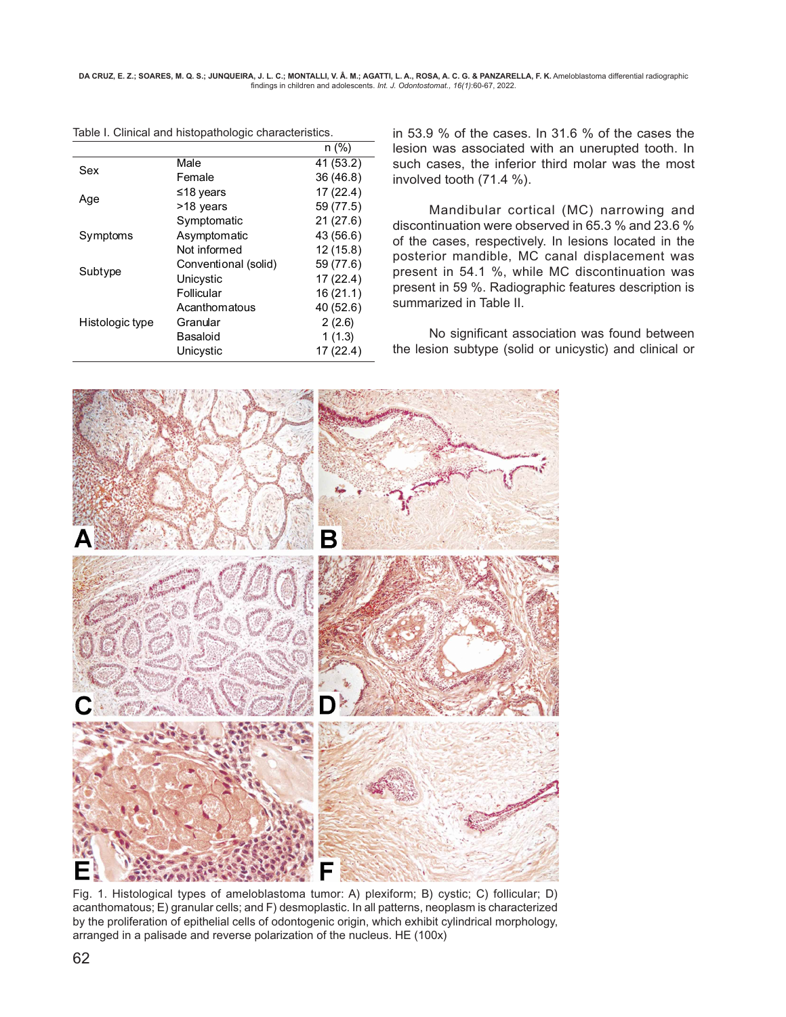**DA CRUZ, E. Z.; SOARES, M. Q. S.; JUNQUEIRA, J. L. C.; MONTALLI, V. Â. M.; AGATTI, L. A., ROSA, A. C. G. & PANZARELLA, F. K.** Ameloblastoma differential radiographic findings in children and adolescents. *Int. J. Odontostomat., 16(1)*:60-67, 2022.

|                 |                      | $n$ (%)   |
|-----------------|----------------------|-----------|
| Sex             | Male                 | 41 (53.2) |
|                 | Female               | 36 (46.8) |
| Age             | ≤18 years            | 17(22.4)  |
|                 | >18 years            | 59 (77.5) |
|                 | Symptomatic          | 21(27.6)  |
| Symptoms        | Asymptomatic         | 43 (56.6) |
|                 | Not informed         | 12(15.8)  |
| Subtype         | Conventional (solid) | 59 (77.6) |
|                 | Unicystic            | 17(22.4)  |
|                 | Follicular           | 16(21.1)  |
| Histologic type | Acanthomatous        | 40 (52.6) |
|                 | Granular             | 2(2.6)    |
|                 | Basaloid             | 1(1.3)    |
|                 | Unicystic            | 17(22.4)  |

Table I. Clinical and histopathologic characteristics.

in 53.9 % of the cases. In 31.6 % of the cases the lesion was associated with an unerupted tooth. In such cases, the inferior third molar was the most involved tooth (71.4 %).

Mandibular cortical (MC) narrowing and discontinuation were observed in 65.3 % and 23.6 % of the cases, respectively. In lesions located in the posterior mandible, MC canal displacement was present in 54.1 %, while MC discontinuation was present in 59 %. Radiographic features description is summarized in Table II.

No significant association was found between the lesion subtype (solid or unicystic) and clinical or



Fig. 1. Histological types of ameloblastoma tumor: A) plexiform; B) cystic; C) follicular; D) acanthomatous; E) granular cells; and F) desmoplastic. In all patterns, neoplasm is characterized by the proliferation of epithelial cells of odontogenic origin, which exhibit cylindrical morphology, arranged in a palisade and reverse polarization of the nucleus. HE (100x)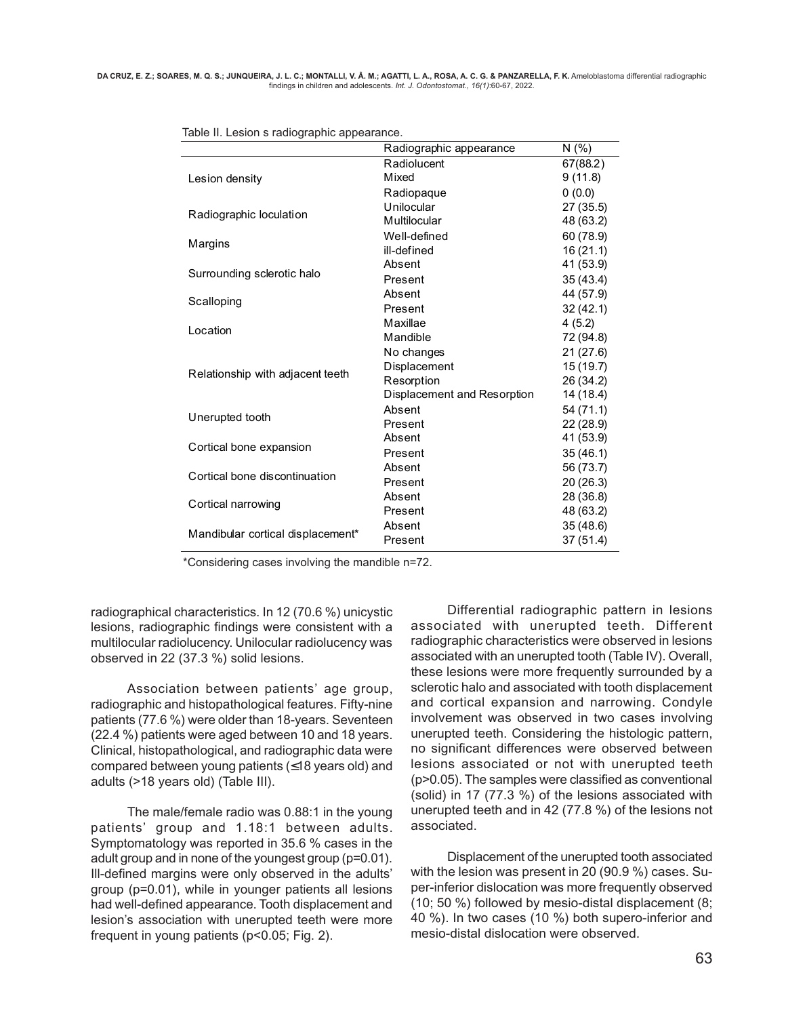|                                   | Radiographic appearance     | N(% )     |
|-----------------------------------|-----------------------------|-----------|
|                                   | Radiolucent                 | 67(88.2)  |
| Lesion density                    | Mixed                       | 9(11.8)   |
|                                   | Radiopaque                  | 0(0.0)    |
|                                   | Unilocular                  | 27 (35.5) |
| Radiographic loculation           | Multilocular                | 48 (63.2) |
|                                   | Well-defined                | 60 (78.9) |
| Margins                           | ill-defined                 | 16(21.1)  |
|                                   | Absent                      | 41 (53.9) |
| Surrounding sclerotic halo        | Present                     | 35(43.4)  |
|                                   | Absent                      | 44 (57.9) |
| Scalloping                        | Present                     | 32(42.1)  |
|                                   | Maxillae                    | 4(5.2)    |
| Location                          | Mandible                    | 72 (94.8) |
|                                   | No changes                  | 21(27.6)  |
|                                   | Displacement                | 15(19.7)  |
| Relationship with adjacent teeth  | Resorption                  | 26 (34.2) |
|                                   | Displacement and Resorption | 14 (18.4) |
|                                   | Absent                      | 54(71.1)  |
| Unerupted tooth                   | Present                     | 22 (28.9) |
|                                   | Absent                      | 41 (53.9) |
| Cortical bone expansion           | Present                     | 35(46.1)  |
|                                   | Absent                      | 56 (73.7) |
| Cortical bone discontinuation     | Present                     | 20(26.3)  |
|                                   | Absent                      | 28 (36.8) |
| Cortical narrowing                | Present                     | 48 (63.2) |
|                                   | Absent                      | 35 (48.6) |
| Mandibular cortical displacement* | Present                     | 37(51.4)  |
|                                   |                             |           |

Table II. Lesion s radiographic appearance.

\*Considering cases involving the mandible n=72.

radiographical characteristics. In 12 (70.6 %) unicystic lesions, radiographic findings were consistent with a multilocular radiolucency. Unilocular radiolucency was observed in 22 (37.3 %) solid lesions.

Association between patients' age group, radiographic and histopathological features. Fifty-nine patients (77.6 %) were older than 18-years. Seventeen (22.4 %) patients were aged between 10 and 18 years. Clinical, histopathological, and radiographic data were compared between young patients (≤18 years old) and adults (>18 years old) (Table III).

The male/female radio was 0.88:1 in the young patients' group and 1.18:1 between adults. Symptomatology was reported in 35.6 % cases in the adult group and in none of the youngest group (p=0.01). Ill-defined margins were only observed in the adults' group (p=0.01), while in younger patients all lesions had well-defined appearance. Tooth displacement and lesion's association with unerupted teeth were more frequent in young patients (p<0.05; Fig. 2).

Differential radiographic pattern in lesions associated with unerupted teeth. Different radiographic characteristics were observed in lesions associated with an unerupted tooth (Table IV). Overall, these lesions were more frequently surrounded by a sclerotic halo and associated with tooth displacement and cortical expansion and narrowing. Condyle involvement was observed in two cases involving unerupted teeth. Considering the histologic pattern, no significant differences were observed between lesions associated or not with unerupted teeth (p>0.05). The samples were classified as conventional (solid) in 17 (77.3 %) of the lesions associated with unerupted teeth and in 42 (77.8 %) of the lesions not associated.

Displacement of the unerupted tooth associated with the lesion was present in 20 (90.9 %) cases. Super-inferior dislocation was more frequently observed (10; 50 %) followed by mesio-distal displacement (8; 40 %). In two cases (10 %) both supero-inferior and mesio-distal dislocation were observed.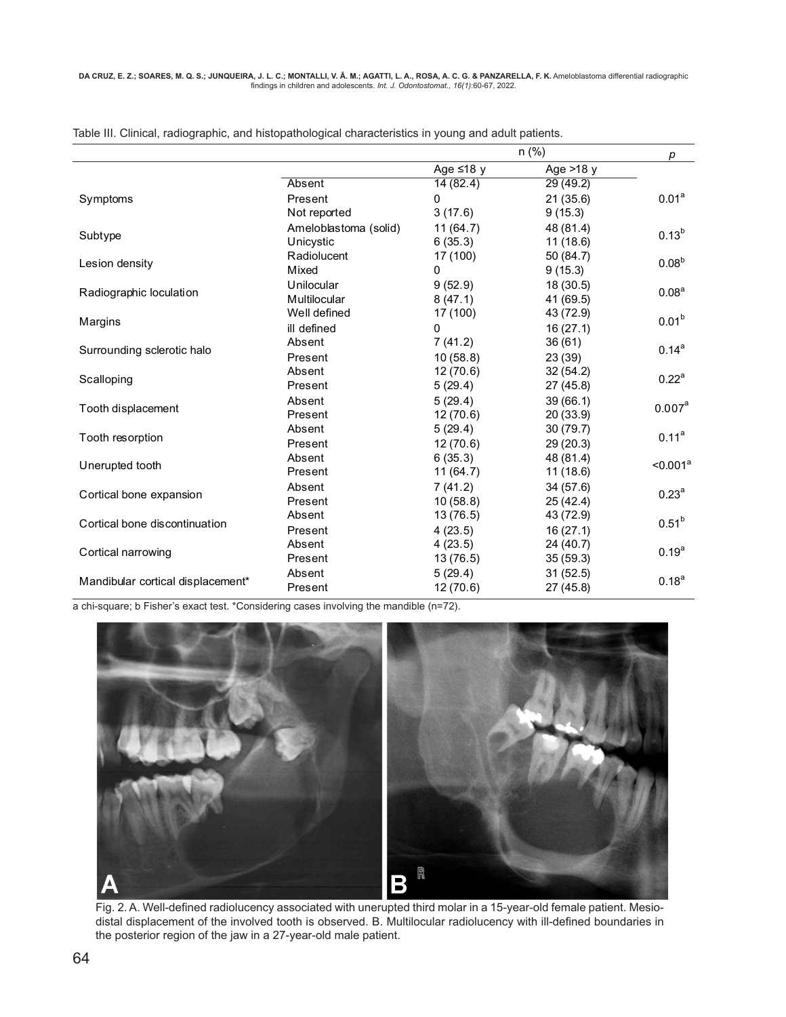|                                   |                       | $n$ (%)         |             | р                    |
|-----------------------------------|-----------------------|-----------------|-------------|----------------------|
|                                   |                       | Age $\leq$ 18 y | Age $>18$ y |                      |
|                                   | Absent                | 14(82.4)        | 29(49.2)    |                      |
| Symptoms                          | Present               | 0               | 21(35.6)    | 0.01 <sup>a</sup>    |
|                                   | Not reported          | 3(17.6)         | 9(15.3)     |                      |
|                                   | Ameloblastoma (solid) | 11(64.7)        | 48 (81.4)   |                      |
| Subtype                           | Unicystic             | 6(35.3)         | 11(18.6)    | $0.13^{b}$           |
|                                   | Radiolucent           | 17 (100)        | 50 (84.7)   | 0.08 <sup>b</sup>    |
| Lesion density                    | Mixed                 | 0               | 9(15.3)     |                      |
|                                   | Unilocular            | 9(52.9)         | 18 (30.5)   |                      |
| Radiographic loculation           | Multilocular          | 8(47.1)         | 41 (69.5)   | 0.08 <sup>a</sup>    |
|                                   | Well defined          | 17 (100)        | 43 (72.9)   | 0.01 <sup>b</sup>    |
| Margins                           | ill defined           | 0               | 16(27.1)    |                      |
| Surrounding sclerotic halo        | Absent                | 7(41.2)         | 36(61)      | $0.14^{a}$           |
|                                   | Present               | 10(58.8)        | 23 (39)     |                      |
|                                   | Absent                | 12(70.6)        | 32(54.2)    | 0.22 <sup>a</sup>    |
| Scalloping                        | Present               | 5(29.4)         | 27 (45.8)   |                      |
|                                   | Absent                | 5(29.4)         | 39(66.1)    | 0.007 <sup>a</sup>   |
| Tooth displacement                | Present               | 12(70.6)        | 20 (33.9)   |                      |
|                                   | Absent                | 5(29.4)         | 30(79.7)    | $0.11^a$             |
| Tooth resorption                  | Present               | 12(70.6)        | 29 (20.3)   |                      |
|                                   | Absent                | 6(35.3)         | 48 (81.4)   | < 0.001 <sup>a</sup> |
| Unerupted tooth                   | Present               | 11(64.7)        | 11(18.6)    |                      |
|                                   | Absent                | 7(41.2)         | 34 (57.6)   | $0.23^{\circ}$       |
| Cortical bone expansion           | Present               | 10(58.8)        | 25(42.4)    |                      |
| Cortical bone discontinuation     | Absent                | 13(76.5)        | 43 (72.9)   | 0.51 <sup>b</sup>    |
|                                   | Present               | 4(23.5)         | 16(27.1)    |                      |
|                                   | Absent                | 4(23.5)         | 24 (40.7)   | $0.19^{a}$           |
| Cortical narrowing                | Present               | 13(76.5)        | 35(59.3)    |                      |
|                                   | Absent                | 5(29.4)         | 31(52.5)    | 0.18 <sup>a</sup>    |
| Mandibular cortical displacement* | Present               | 12(70.6)        | 27 (45.8)   |                      |

Table III. Clinical, radiographic, and histopathological characteristics in young and adult patients.

a chi-square; b Fisher's exact test. \*Considering cases involving the mandible (n=72).



Fig. 2. A. Well-defined radiolucency associated with unerupted third molar in a 15-year-old female patient. Mesiodistal displacement of the involved tooth is observed. B. Multilocular radiolucency with ill-defined boundaries in the posterior region of the jaw in a 27-year-old male patient.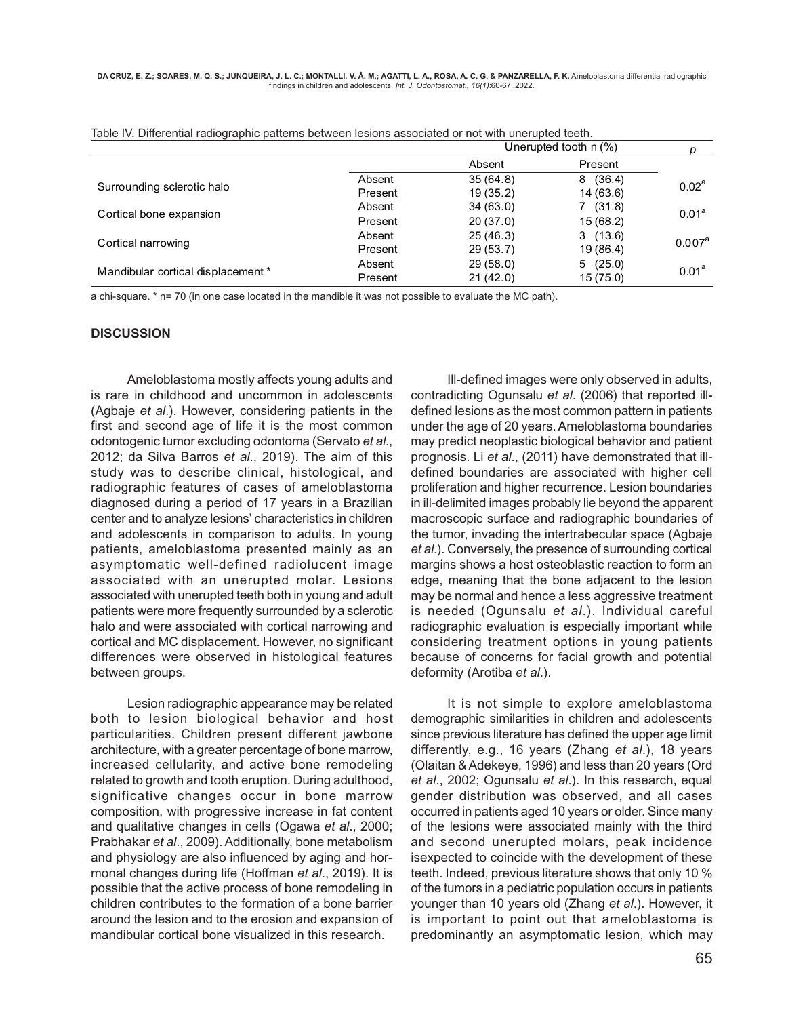|                                    |         | Unerupted tooth $n$ (%) |           | р                  |
|------------------------------------|---------|-------------------------|-----------|--------------------|
|                                    |         | Absent                  | Present   |                    |
| Surrounding sclerotic halo         | Absent  | 35(64.8)                | 8(36.4)   | 0.02 <sup>a</sup>  |
|                                    | Present | 19(35.2)                | 14 (63.6) |                    |
| Cortical bone expansion            | Absent  | 34(63.0)                | 7(31.8)   | 0.01 <sup>a</sup>  |
|                                    | Present | 20(37.0)                | 15(68.2)  |                    |
| Cortical narrowing                 | Absent  | 25(46.3)                | 3(13.6)   |                    |
|                                    | Present | 29(53.7)                | 19 (86.4) | 0.007 <sup>a</sup> |
| Mandibular cortical displacement * | Absent  | 29(58.0)                | 5(25.0)   |                    |
|                                    | Present | 21(42.0)                | 15(75.0)  | 0.01 <sup>a</sup>  |

| Table IV. Differential radiographic patterns between lesions associated or not with unerupted teeth. |  |
|------------------------------------------------------------------------------------------------------|--|
|------------------------------------------------------------------------------------------------------|--|

a chi-square. \* n= 70 (in one case located in the mandible it was not possible to evaluate the MC path).

#### **DISCUSSION**

Ameloblastoma mostly affects young adults and is rare in childhood and uncommon in adolescents (Agbaje *et al*.). However, considering patients in the first and second age of life it is the most common odontogenic tumor excluding odontoma (Servato *et al*., 2012; da Silva Barros *et al*., 2019). The aim of this study was to describe clinical, histological, and radiographic features of cases of ameloblastoma diagnosed during a period of 17 years in a Brazilian center and to analyze lesions' characteristics in children and adolescents in comparison to adults. In young patients, ameloblastoma presented mainly as an asymptomatic well-defined radiolucent image associated with an unerupted molar. Lesions associated with unerupted teeth both in young and adult patients were more frequently surrounded by a sclerotic halo and were associated with cortical narrowing and cortical and MC displacement. However, no significant differences were observed in histological features between groups.

Lesion radiographic appearance may be related both to lesion biological behavior and host particularities. Children present different jawbone architecture, with a greater percentage of bone marrow, increased cellularity, and active bone remodeling related to growth and tooth eruption. During adulthood, significative changes occur in bone marrow composition, with progressive increase in fat content and qualitative changes in cells (Ogawa *et al*., 2000; Prabhakar *et al*., 2009). Additionally, bone metabolism and physiology are also influenced by aging and hormonal changes during life (Hoffman *et al*., 2019). It is possible that the active process of bone remodeling in children contributes to the formation of a bone barrier around the lesion and to the erosion and expansion of mandibular cortical bone visualized in this research.

Ill-defined images were only observed in adults, contradicting Ogunsalu *et al*. (2006) that reported illdefined lesions as the most common pattern in patients under the age of 20 years. Ameloblastoma boundaries may predict neoplastic biological behavior and patient prognosis. Li *et al*., (2011) have demonstrated that illdefined boundaries are associated with higher cell proliferation and higher recurrence. Lesion boundaries in ill-delimited images probably lie beyond the apparent macroscopic surface and radiographic boundaries of the tumor, invading the intertrabecular space (Agbaje *et al*.). Conversely, the presence of surrounding cortical margins shows a host osteoblastic reaction to form an edge, meaning that the bone adjacent to the lesion may be normal and hence a less aggressive treatment is needed (Ogunsalu *et al*.). Individual careful radiographic evaluation is especially important while considering treatment options in young patients because of concerns for facial growth and potential deformity (Arotiba *et al*.).

It is not simple to explore ameloblastoma demographic similarities in children and adolescents since previous literature has defined the upper age limit differently, e.g., 16 years (Zhang *et al*.), 18 years (Olaitan & Adekeye, 1996) and less than 20 years (Ord *et al*., 2002; Ogunsalu *et al*.). In this research, equal gender distribution was observed, and all cases occurred in patients aged 10 years or older. Since many of the lesions were associated mainly with the third and second unerupted molars, peak incidence isexpected to coincide with the development of these teeth. Indeed, previous literature shows that only 10 % of the tumors in a pediatric population occurs in patients younger than 10 years old (Zhang *et al*.). However, it is important to point out that ameloblastoma is predominantly an asymptomatic lesion, which may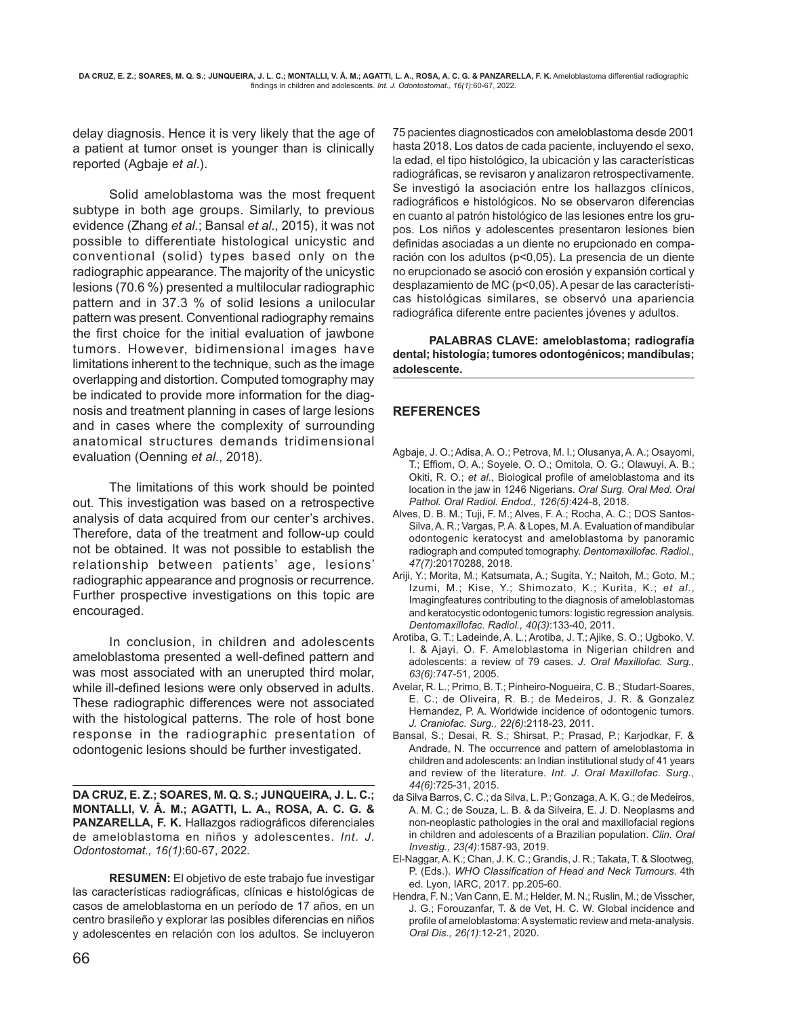delay diagnosis. Hence it is very likely that the age of a patient at tumor onset is younger than is clinically reported (Agbaje *et al*.).

Solid ameloblastoma was the most frequent subtype in both age groups. Similarly, to previous evidence (Zhang *et al*.; Bansal *et al*., 2015), it was not possible to differentiate histological unicystic and conventional (solid) types based only on the radiographic appearance. The majority of the unicystic lesions (70.6 %) presented a multilocular radiographic pattern and in 37.3 % of solid lesions a unilocular pattern was present. Conventional radiography remains the first choice for the initial evaluation of jawbone tumors. However, bidimensional images have limitations inherent to the technique, such as the image overlapping and distortion. Computed tomography may be indicated to provide more information for the diagnosis and treatment planning in cases of large lesions and in cases where the complexity of surrounding anatomical structures demands tridimensional evaluation (Oenning *et al*., 2018).

The limitations of this work should be pointed out. This investigation was based on a retrospective analysis of data acquired from our center's archives. Therefore, data of the treatment and follow-up could not be obtained. It was not possible to establish the relationship between patients' age, lesions' radiographic appearance and prognosis or recurrence. Further prospective investigations on this topic are encouraged.

In conclusion, in children and adolescents ameloblastoma presented a well-defined pattern and was most associated with an unerupted third molar, while ill-defined lesions were only observed in adults. These radiographic differences were not associated with the histological patterns. The role of host bone response in the radiographic presentation of odontogenic lesions should be further investigated.

**DA CRUZ, E. Z.; SOARES, M. Q. S.; JUNQUEIRA, J. L. C.; MONTALLI, V. Â. M.; AGATTI, L. A., ROSA, A. C. G. & PANZARELLA, F. K.** Hallazgos radiográficos diferenciales de ameloblastoma en niños y adolescentes. *Int. J. Odontostomat., 16(1)*:60-67, 2022.

**RESUMEN:** El objetivo de este trabajo fue investigar las características radiográficas, clínicas e histológicas de casos de ameloblastoma en un período de 17 años, en un centro brasileño y explorar las posibles diferencias en niños y adolescentes en relación con los adultos. Se incluyeron

75 pacientes diagnosticados con ameloblastoma desde 2001 hasta 2018. Los datos de cada paciente, incluyendo el sexo, la edad, el tipo histológico, la ubicación y las características radiográficas, se revisaron y analizaron retrospectivamente. Se investigó la asociación entre los hallazgos clínicos, radiográficos e histológicos. No se observaron diferencias en cuanto al patrón histológico de las lesiones entre los grupos. Los niños y adolescentes presentaron lesiones bien definidas asociadas a un diente no erupcionado en comparación con los adultos (p<0,05). La presencia de un diente no erupcionado se asoció con erosión y expansión cortical y desplazamiento de MC (p<0,05). A pesar de las características histológicas similares, se observó una apariencia radiográfica diferente entre pacientes jóvenes y adultos.

**PALABRAS CLAVE: ameloblastoma; radiografía dental; histología; tumores odontogénicos; mandíbulas; adolescente.**

## **REFERENCES**

- Agbaje, J. O.; Adisa, A. O.; Petrova, M. I.; Olusanya, A. A.; Osayomi, T.; Effiom, O. A.; Soyele, O. O.; Omitola, O. G.; Olawuyi, A. B.; Okiti, R. O.; *et al*., Biological profile of ameloblastoma and its location in the jaw in 1246 Nigerians. *Oral Surg. Oral Med. Oral Pathol. Oral Radiol. Endod., 126(5)*:424-8, 2018.
- Alves, D. B. M.; Tuji, F. M.; Alves, F. A.; Rocha, A. C.; DOS Santos-Silva, A. R.; Vargas, P. A. & Lopes, M. A. Evaluation of mandibular odontogenic keratocyst and ameloblastoma by panoramic radiograph and computed tomography. *Dentomaxillofac. Radiol., 47(7)*:20170288, 2018.
- Ariji, Y.; Morita, M.; Katsumata, A.; Sugita, Y.; Naitoh, M.; Goto, M.; Izumi, M.; Kise, Y.; Shimozato, K.; Kurita, K.; *et al*., Imagingfeatures contributing to the diagnosis of ameloblastomas and keratocystic odontogenic tumors: logistic regression analysis. *Dentomaxillofac. Radiol., 40(3)*:133-40, 2011.
- Arotiba, G. T.; Ladeinde, A. L.; Arotiba, J. T.; Ajike, S. O.; Ugboko, V. I. & Ajayi, O. F. Ameloblastoma in Nigerian children and adolescents: a review of 79 cases. *J. Oral Maxillofac. Surg., 63(6)*:747-51, 2005.
- Avelar, R. L.; Primo, B. T.; Pinheiro-Nogueira, C. B.; Studart-Soares, E. C.; de Oliveira, R. B.; de Medeiros, J. R. & Gonzalez Hernandez, P. A. Worldwide incidence of odontogenic tumors. *J. Craniofac. Surg., 22(6)*:2118-23, 2011.
- Bansal, S.; Desai, R. S.; Shirsat, P.; Prasad, P.; Karjodkar, F. & Andrade, N. The occurrence and pattern of ameloblastoma in children and adolescents: an Indian institutional study of 41 years and review of the literature. *Int. J. Oral Maxillofac. Surg., 44(6)*:725-31, 2015.
- da Silva Barros, C. C.; da Silva, L. P.; Gonzaga, A. K. G.; de Medeiros, A. M. C.; de Souza, L. B. & da Silveira, E. J. D. Neoplasms and non-neoplastic pathologies in the oral and maxillofacial regions in children and adolescents of a Brazilian population. *Clin. Oral Investig., 23(4)*:1587-93, 2019.
- El-Naggar, A. K.; Chan, J. K. C.; Grandis, J. R.; Takata, T. & Slootweg, P. (Eds.). *WHO Classification of Head and Neck Tumours*. 4th ed. Lyon, IARC, 2017. pp.205-60.
- Hendra, F. N.; Van Cann, E. M.; Helder, M. N.; Ruslin, M.; de Visscher, J. G.; Forouzanfar, T. & de Vet, H. C. W. Global incidence and profile of ameloblastoma: A systematic review and meta-analysis. *Oral Dis., 26(1)*:12-21, 2020.